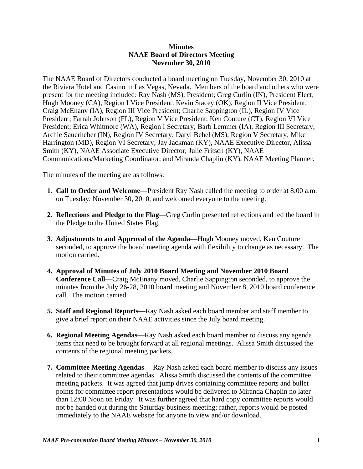## **Minutes NAAE Board of Directors Meeting November 30, 2010**

The NAAE Board of Directors conducted a board meeting on Tuesday, November 30, 2010 at the Riviera Hotel and Casino in Las Vegas, Nevada. Members of the board and others who were present for the meeting included: Ray Nash (MS), President; Greg Curlin (IN), President Elect; Hugh Mooney (CA), Region I Vice President; Kevin Stacey (OK), Region II Vice President; Craig McEnany (IA), Region III Vice President; Charlie Sappington (IL), Region IV Vice President; Farrah Johnson (FL), Region V Vice President; Ken Couture (CT), Region VI Vice President; Erica Whitmore (WA), Region I Secretary; Barb Lemmer (IA), Region III Secretary; Archie Sauerheber (IN), Region IV Secretary; Daryl Behel (MS), Region V Secretary; Mike Harrington (MD), Region VI Secretary; Jay Jackman (KY), NAAE Executive Director, Alissa Smith (KY), NAAE Associate Executive Director; Julie Fritsch (KY), NAAE Communications/Marketing Coordinator; and Miranda Chaplin (KY), NAAE Meeting Planner.

The minutes of the meeting are as follows:

- **1. Call to Order and Welcome**—President Ray Nash called the meeting to order at 8:00 a.m. on Tuesday, November 30, 2010, and welcomed everyone to the meeting.
- **2. Reflections and Pledge to the Flag**—Greg Curlin presented reflections and led the board in the Pledge to the United States Flag.
- **3. Adjustments to and Approval of the Agenda**—Hugh Mooney moved, Ken Couture seconded, to approve the board meeting agenda with flexibility to change as necessary. The motion carried.
- **4. Approval of Minutes of July 2010 Board Meeting and November 2010 Board Conference Call**—Craig McEnany moved, Charlie Sappington seconded, to approve the minutes from the July 26-28, 2010 board meeting and November 8, 2010 board conference call. The motion carried.
- **5. Staff and Regional Reports**—Ray Nash asked each board member and staff member to give a brief report on their NAAE activities since the July board meeting.
- **6. Regional Meeting Agendas**—Ray Nash asked each board member to discuss any agenda items that need to be brought forward at all regional meetings. Alissa Smith discussed the contents of the regional meeting packets.
- **7. Committee Meeting Agendas** Ray Nash asked each board member to discuss any issues related to their committee agendas. Alissa Smith discussed the contents of the committee meeting packets. It was agreed that jump drives containing committee reports and bullet points for committee report presentations would be delivered to Miranda Chaplin no later than 12:00 Noon on Friday. It was further agreed that hard copy committee reports would not be handed out during the Saturday business meeting; rather, reports would be posted immediately to the NAAE website for anyone to view and/or download.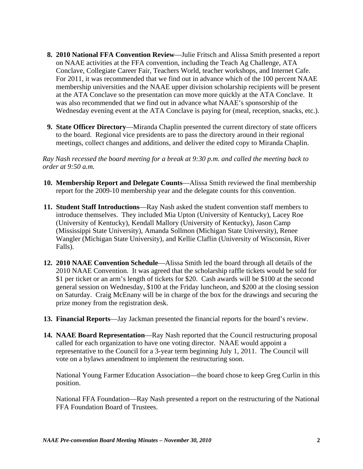- **8. 2010 National FFA Convention Review**—Julie Fritsch and Alissa Smith presented a report on NAAE activities at the FFA convention, including the Teach Ag Challenge, ATA Conclave, Collegiate Career Fair, Teachers World, teacher workshops, and Internet Cafe. For 2011, it was recommended that we find out in advance which of the 100 percent NAAE membership universities and the NAAE upper division scholarship recipients will be present at the ATA Conclave so the presentation can move more quickly at the ATA Conclave. It was also recommended that we find out in advance what NAAE's sponsorship of the Wednesday evening event at the ATA Conclave is paying for (meal, reception, snacks, etc.).
- **9. State Officer Directory**—Miranda Chaplin presented the current directory of state officers to the board. Regional vice presidents are to pass the directory around in their regional meetings, collect changes and additions, and deliver the edited copy to Miranda Chaplin.

*Ray Nash recessed the board meeting for a break at 9:30 p.m. and called the meeting back to order at 9:50 a.m.* 

- **10. Membership Report and Delegate Counts**—Alissa Smith reviewed the final membership report for the 2009-10 membership year and the delegate counts for this convention.
- **11. Student Staff Introductions**—Ray Nash asked the student convention staff members to introduce themselves. They included Mia Upton (University of Kentucky), Lacey Roe (University of Kentucky), Kendall Mallory (University of Kentucky), Jason Camp (Mississippi State University), Amanda Sollmon (Michigan State University), Renee Wangler (Michigan State University), and Kellie Claflin (University of Wisconsin, River Falls).
- **12. 2010 NAAE Convention Schedule**—Alissa Smith led the board through all details of the 2010 NAAE Convention. It was agreed that the scholarship raffle tickets would be sold for \$1 per ticket or an arm's length of tickets for \$20. Cash awards will be \$100 at the second general session on Wednesday, \$100 at the Friday luncheon, and \$200 at the closing session on Saturday. Craig McEnany will be in charge of the box for the drawings and securing the prize money from the registration desk.
- **13. Financial Reports**—Jay Jackman presented the financial reports for the board's review.
- **14. NAAE Board Representation**—Ray Nash reported that the Council restructuring proposal called for each organization to have one voting director. NAAE would appoint a representative to the Council for a 3-year term beginning July 1, 2011. The Council will vote on a bylaws amendment to implement the restructuring soon.

National Young Farmer Education Association—the board chose to keep Greg Curlin in this position.

National FFA Foundation—Ray Nash presented a report on the restructuring of the National FFA Foundation Board of Trustees.